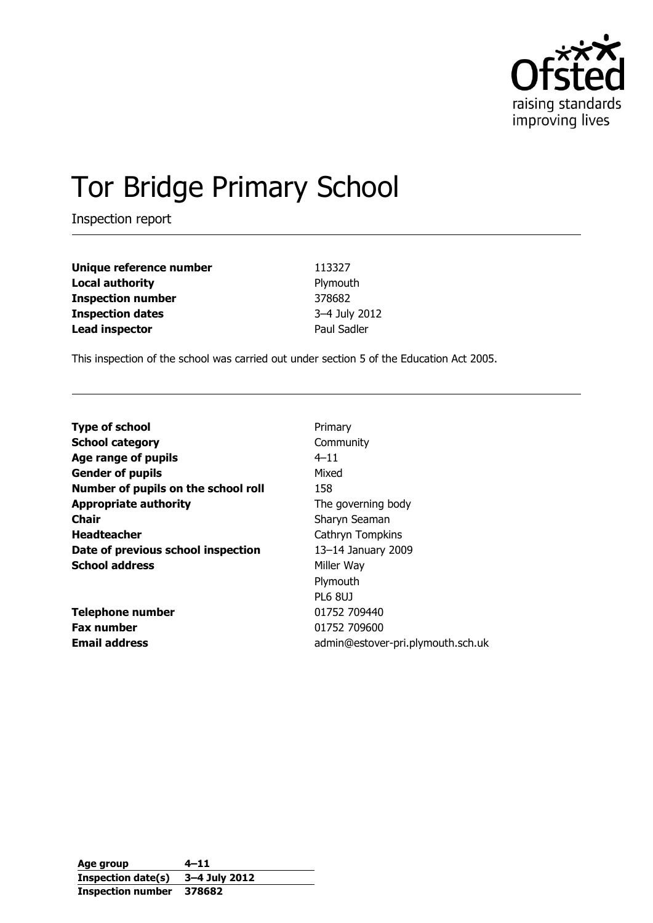

# Tor Bridge Primary School

Inspection report

**Unique reference number** 113327 **Local authority Plymouth Inspection number** 378682 **Inspection dates** 3–4 July 2012 **Lead inspector Example 2 Paul Sadler** 

This inspection of the school was carried out under section 5 of the Education Act 2005.

| <b>Type of school</b>               | Primary                           |
|-------------------------------------|-----------------------------------|
| <b>School category</b>              | Community                         |
| Age range of pupils                 | $4 - 11$                          |
| <b>Gender of pupils</b>             | Mixed                             |
| Number of pupils on the school roll | 158                               |
| <b>Appropriate authority</b>        | The governing body                |
| Chair                               | Sharyn Seaman                     |
| <b>Headteacher</b>                  | Cathryn Tompkins                  |
| Date of previous school inspection  | 13-14 January 2009                |
| <b>School address</b>               | Miller Way                        |
|                                     | Plymouth                          |
|                                     | <b>PL6 8UJ</b>                    |
| <b>Telephone number</b>             | 01752 709440                      |
| <b>Fax number</b>                   | 01752 709600                      |
| <b>Email address</b>                | admin@estover-pri.plymouth.sch.uk |

**Age group 4–11 Inspection date(s) 3–4 July 2012 Inspection number 378682**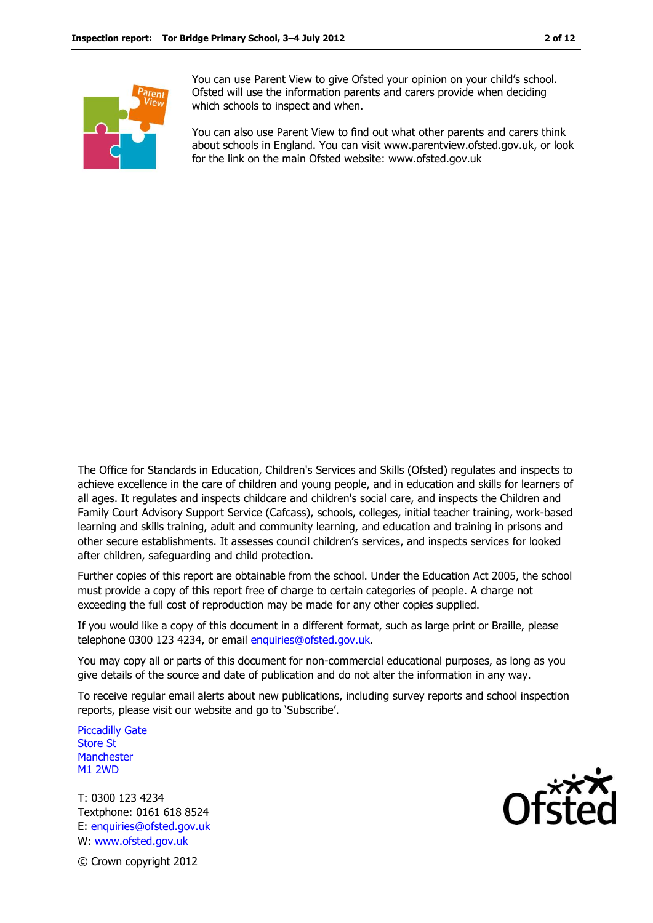

You can use Parent View to give Ofsted your opinion on your child's school. Ofsted will use the information parents and carers provide when deciding which schools to inspect and when.

You can also use Parent View to find out what other parents and carers think about schools in England. You can visit www.parentview.ofsted.gov.uk, or look for the link on the main Ofsted website: www.ofsted.gov.uk

The Office for Standards in Education, Children's Services and Skills (Ofsted) regulates and inspects to achieve excellence in the care of children and young people, and in education and skills for learners of all ages. It regulates and inspects childcare and children's social care, and inspects the Children and Family Court Advisory Support Service (Cafcass), schools, colleges, initial teacher training, work-based learning and skills training, adult and community learning, and education and training in prisons and other secure establishments. It assesses council children's services, and inspects services for looked after children, safeguarding and child protection.

Further copies of this report are obtainable from the school. Under the Education Act 2005, the school must provide a copy of this report free of charge to certain categories of people. A charge not exceeding the full cost of reproduction may be made for any other copies supplied.

If you would like a copy of this document in a different format, such as large print or Braille, please telephone 0300 123 4234, or email enquiries@ofsted.gov.uk.

You may copy all or parts of this document for non-commercial educational purposes, as long as you give details of the source and date of publication and do not alter the information in any way.

To receive regular email alerts about new publications, including survey reports and school inspection reports, please visit our website and go to 'Subscribe'.

Piccadilly Gate Store St **Manchester** M1 2WD

T: 0300 123 4234 Textphone: 0161 618 8524 E: enquiries@ofsted.gov.uk W: www.ofsted.gov.uk



© Crown copyright 2012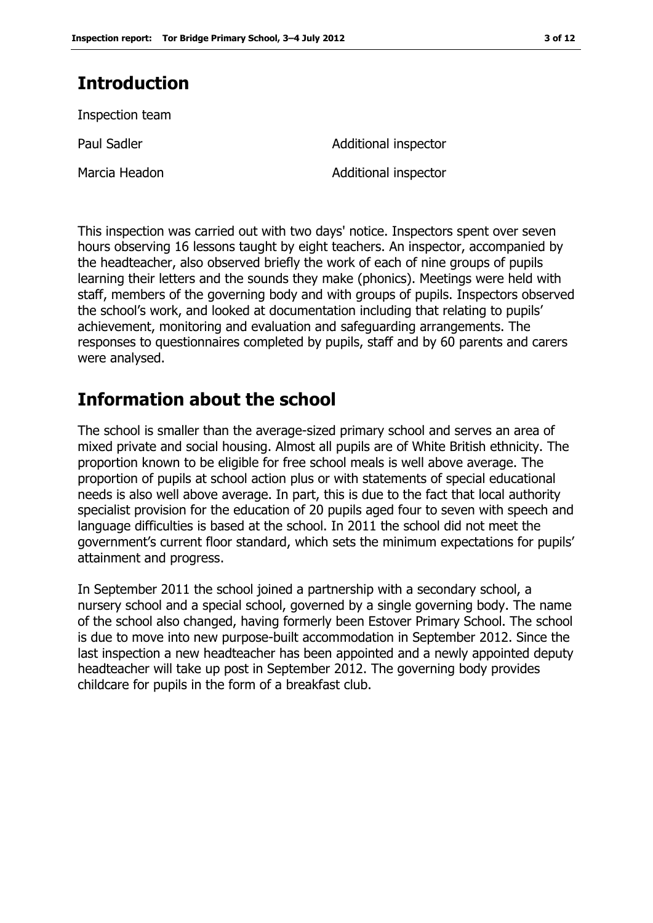# **Introduction**

Inspection team

Marcia Headon **Additional inspector** 

Paul Sadler **Additional inspector Additional inspector** 

This inspection was carried out with two days' notice. Inspectors spent over seven hours observing 16 lessons taught by eight teachers. An inspector, accompanied by the headteacher, also observed briefly the work of each of nine groups of pupils learning their letters and the sounds they make (phonics). Meetings were held with staff, members of the governing body and with groups of pupils. Inspectors observed the school's work, and looked at documentation including that relating to pupils' achievement, monitoring and evaluation and safeguarding arrangements. The responses to questionnaires completed by pupils, staff and by 60 parents and carers were analysed.

# **Information about the school**

The school is smaller than the average-sized primary school and serves an area of mixed private and social housing. Almost all pupils are of White British ethnicity. The proportion known to be eligible for free school meals is well above average. The proportion of pupils at school action plus or with statements of special educational needs is also well above average. In part, this is due to the fact that local authority specialist provision for the education of 20 pupils aged four to seven with speech and language difficulties is based at the school. In 2011 the school did not meet the government's current floor standard, which sets the minimum expectations for pupils' attainment and progress.

In September 2011 the school joined a partnership with a secondary school, a nursery school and a special school, governed by a single governing body. The name of the school also changed, having formerly been Estover Primary School. The school is due to move into new purpose-built accommodation in September 2012. Since the last inspection a new headteacher has been appointed and a newly appointed deputy headteacher will take up post in September 2012. The governing body provides childcare for pupils in the form of a breakfast club.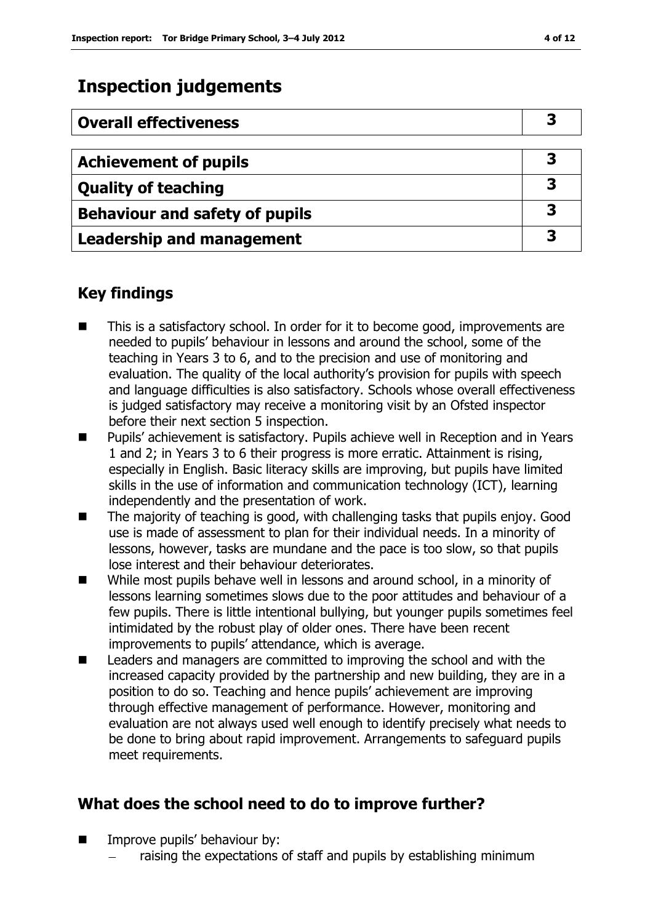# **Inspection judgements**

| <b>Overall effectiveness</b>          | З |
|---------------------------------------|---|
|                                       |   |
| <b>Achievement of pupils</b>          | 3 |
| <b>Quality of teaching</b>            | 3 |
| <b>Behaviour and safety of pupils</b> | 3 |
| <b>Leadership and management</b>      | 3 |

## **Key findings**

- This is a satisfactory school. In order for it to become good, improvements are needed to pupils' behaviour in lessons and around the school, some of the teaching in Years 3 to 6, and to the precision and use of monitoring and evaluation. The quality of the local authority's provision for pupils with speech and language difficulties is also satisfactory. Schools whose overall effectiveness is judged satisfactory may receive a monitoring visit by an Ofsted inspector before their next section 5 inspection.
- Pupils' achievement is satisfactory. Pupils achieve well in Reception and in Years 1 and 2; in Years 3 to 6 their progress is more erratic. Attainment is rising, especially in English. Basic literacy skills are improving, but pupils have limited skills in the use of information and communication technology (ICT), learning independently and the presentation of work.
- The majority of teaching is good, with challenging tasks that pupils enjoy. Good use is made of assessment to plan for their individual needs. In a minority of lessons, however, tasks are mundane and the pace is too slow, so that pupils lose interest and their behaviour deteriorates.
- While most pupils behave well in lessons and around school, in a minority of lessons learning sometimes slows due to the poor attitudes and behaviour of a few pupils. There is little intentional bullying, but younger pupils sometimes feel intimidated by the robust play of older ones. There have been recent improvements to pupils' attendance, which is average.
- Leaders and managers are committed to improving the school and with the increased capacity provided by the partnership and new building, they are in a position to do so. Teaching and hence pupils' achievement are improving through effective management of performance. However, monitoring and evaluation are not always used well enough to identify precisely what needs to be done to bring about rapid improvement. Arrangements to safeguard pupils meet requirements.

## **What does the school need to do to improve further?**

- Improve pupils' behaviour by:
	- raising the expectations of staff and pupils by establishing minimum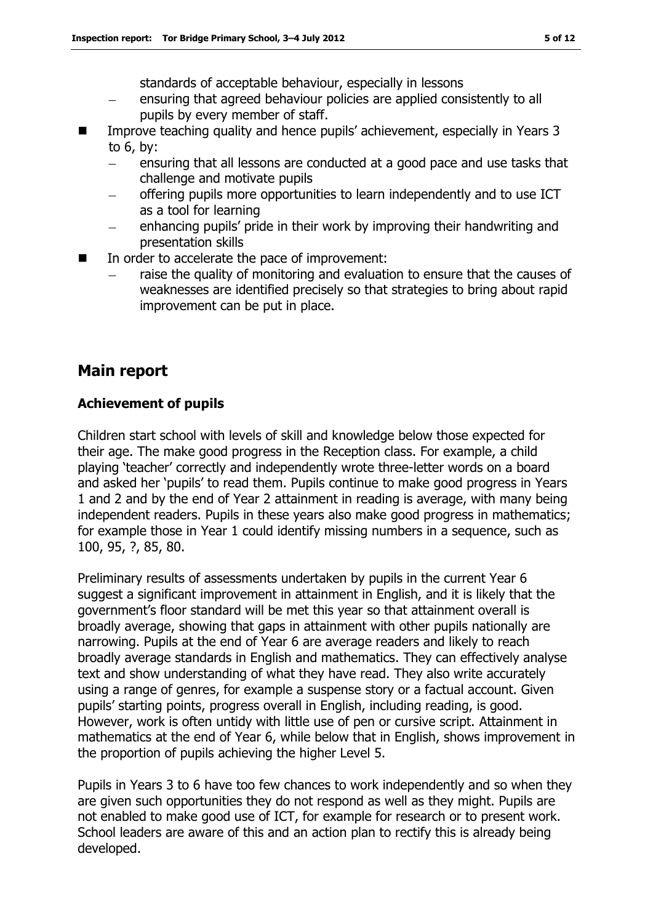standards of acceptable behaviour, especially in lessons

- ensuring that agreed behaviour policies are applied consistently to all pupils by every member of staff.
- Improve teaching quality and hence pupils' achievement, especially in Years 3 to 6, by:
	- ensuring that all lessons are conducted at a good pace and use tasks that challenge and motivate pupils
	- offering pupils more opportunities to learn independently and to use ICT as a tool for learning
	- enhancing pupils' pride in their work by improving their handwriting and presentation skills
- In order to accelerate the pace of improvement:
	- raise the quality of monitoring and evaluation to ensure that the causes of weaknesses are identified precisely so that strategies to bring about rapid improvement can be put in place.

## **Main report**

#### **Achievement of pupils**

Children start school with levels of skill and knowledge below those expected for their age. The make good progress in the Reception class. For example, a child playing 'teacher' correctly and independently wrote three-letter words on a board and asked her 'pupils' to read them. Pupils continue to make good progress in Years 1 and 2 and by the end of Year 2 attainment in reading is average, with many being independent readers. Pupils in these years also make good progress in mathematics; for example those in Year 1 could identify missing numbers in a sequence, such as 100, 95, ?, 85, 80.

Preliminary results of assessments undertaken by pupils in the current Year 6 suggest a significant improvement in attainment in English, and it is likely that the government's floor standard will be met this year so that attainment overall is broadly average, showing that gaps in attainment with other pupils nationally are narrowing. Pupils at the end of Year 6 are average readers and likely to reach broadly average standards in English and mathematics. They can effectively analyse text and show understanding of what they have read. They also write accurately using a range of genres, for example a suspense story or a factual account. Given pupils' starting points, progress overall in English, including reading, is good. However, work is often untidy with little use of pen or cursive script. Attainment in mathematics at the end of Year 6, while below that in English, shows improvement in the proportion of pupils achieving the higher Level 5.

Pupils in Years 3 to 6 have too few chances to work independently and so when they are given such opportunities they do not respond as well as they might. Pupils are not enabled to make good use of ICT, for example for research or to present work. School leaders are aware of this and an action plan to rectify this is already being developed.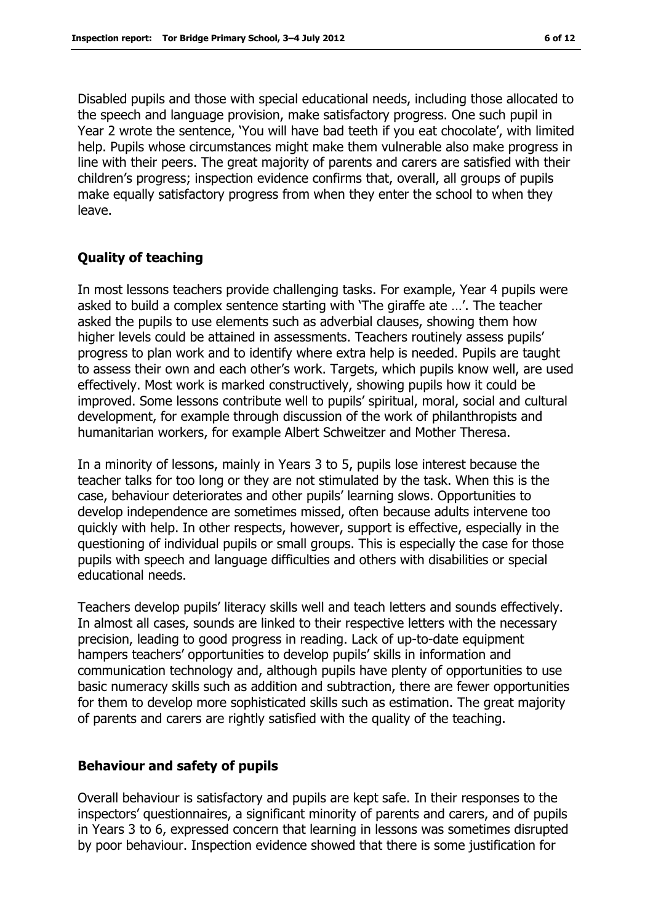Disabled pupils and those with special educational needs, including those allocated to the speech and language provision, make satisfactory progress. One such pupil in Year 2 wrote the sentence, 'You will have bad teeth if you eat chocolate', with limited help. Pupils whose circumstances might make them vulnerable also make progress in line with their peers. The great majority of parents and carers are satisfied with their children's progress; inspection evidence confirms that, overall, all groups of pupils make equally satisfactory progress from when they enter the school to when they leave.

#### **Quality of teaching**

In most lessons teachers provide challenging tasks. For example, Year 4 pupils were asked to build a complex sentence starting with 'The giraffe ate …'. The teacher asked the pupils to use elements such as adverbial clauses, showing them how higher levels could be attained in assessments. Teachers routinely assess pupils' progress to plan work and to identify where extra help is needed. Pupils are taught to assess their own and each other's work. Targets, which pupils know well, are used effectively. Most work is marked constructively, showing pupils how it could be improved. Some lessons contribute well to pupils' spiritual, moral, social and cultural development, for example through discussion of the work of philanthropists and humanitarian workers, for example Albert Schweitzer and Mother Theresa.

In a minority of lessons, mainly in Years 3 to 5, pupils lose interest because the teacher talks for too long or they are not stimulated by the task. When this is the case, behaviour deteriorates and other pupils' learning slows. Opportunities to develop independence are sometimes missed, often because adults intervene too quickly with help. In other respects, however, support is effective, especially in the questioning of individual pupils or small groups. This is especially the case for those pupils with speech and language difficulties and others with disabilities or special educational needs.

Teachers develop pupils' literacy skills well and teach letters and sounds effectively. In almost all cases, sounds are linked to their respective letters with the necessary precision, leading to good progress in reading. Lack of up-to-date equipment hampers teachers' opportunities to develop pupils' skills in information and communication technology and, although pupils have plenty of opportunities to use basic numeracy skills such as addition and subtraction, there are fewer opportunities for them to develop more sophisticated skills such as estimation. The great majority of parents and carers are rightly satisfied with the quality of the teaching.

#### **Behaviour and safety of pupils**

Overall behaviour is satisfactory and pupils are kept safe. In their responses to the inspectors' questionnaires, a significant minority of parents and carers, and of pupils in Years 3 to 6, expressed concern that learning in lessons was sometimes disrupted by poor behaviour. Inspection evidence showed that there is some justification for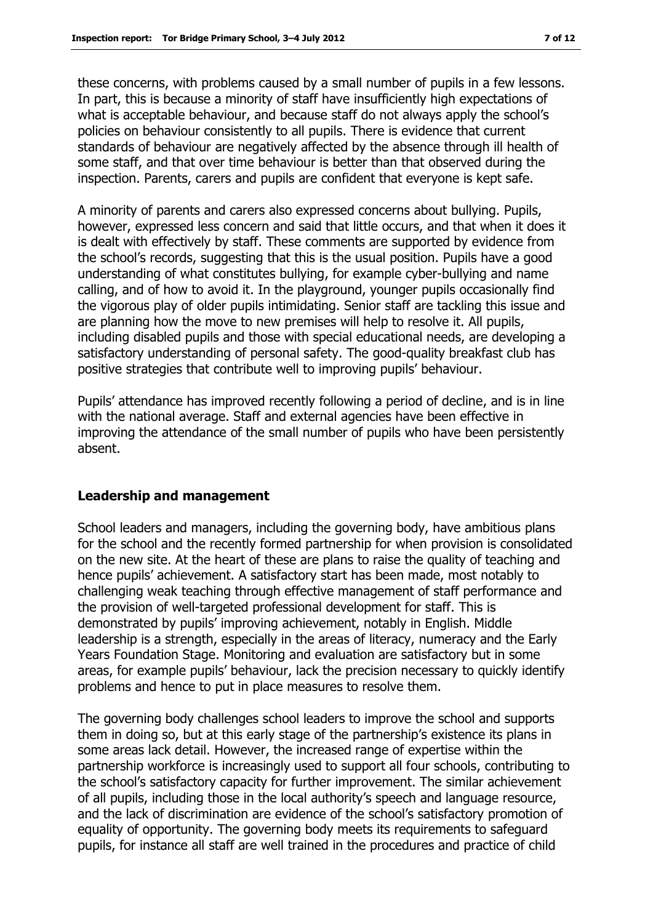these concerns, with problems caused by a small number of pupils in a few lessons. In part, this is because a minority of staff have insufficiently high expectations of what is acceptable behaviour, and because staff do not always apply the school's policies on behaviour consistently to all pupils. There is evidence that current standards of behaviour are negatively affected by the absence through ill health of some staff, and that over time behaviour is better than that observed during the inspection. Parents, carers and pupils are confident that everyone is kept safe.

A minority of parents and carers also expressed concerns about bullying. Pupils, however, expressed less concern and said that little occurs, and that when it does it is dealt with effectively by staff. These comments are supported by evidence from the school's records, suggesting that this is the usual position. Pupils have a good understanding of what constitutes bullying, for example cyber-bullying and name calling, and of how to avoid it. In the playground, younger pupils occasionally find the vigorous play of older pupils intimidating. Senior staff are tackling this issue and are planning how the move to new premises will help to resolve it. All pupils, including disabled pupils and those with special educational needs, are developing a satisfactory understanding of personal safety. The good-quality breakfast club has positive strategies that contribute well to improving pupils' behaviour.

Pupils' attendance has improved recently following a period of decline, and is in line with the national average. Staff and external agencies have been effective in improving the attendance of the small number of pupils who have been persistently absent.

#### **Leadership and management**

School leaders and managers, including the governing body, have ambitious plans for the school and the recently formed partnership for when provision is consolidated on the new site. At the heart of these are plans to raise the quality of teaching and hence pupils' achievement. A satisfactory start has been made, most notably to challenging weak teaching through effective management of staff performance and the provision of well-targeted professional development for staff. This is demonstrated by pupils' improving achievement, notably in English. Middle leadership is a strength, especially in the areas of literacy, numeracy and the Early Years Foundation Stage. Monitoring and evaluation are satisfactory but in some areas, for example pupils' behaviour, lack the precision necessary to quickly identify problems and hence to put in place measures to resolve them.

The governing body challenges school leaders to improve the school and supports them in doing so, but at this early stage of the partnership's existence its plans in some areas lack detail. However, the increased range of expertise within the partnership workforce is increasingly used to support all four schools, contributing to the school's satisfactory capacity for further improvement. The similar achievement of all pupils, including those in the local authority's speech and language resource, and the lack of discrimination are evidence of the school's satisfactory promotion of equality of opportunity. The governing body meets its requirements to safeguard pupils, for instance all staff are well trained in the procedures and practice of child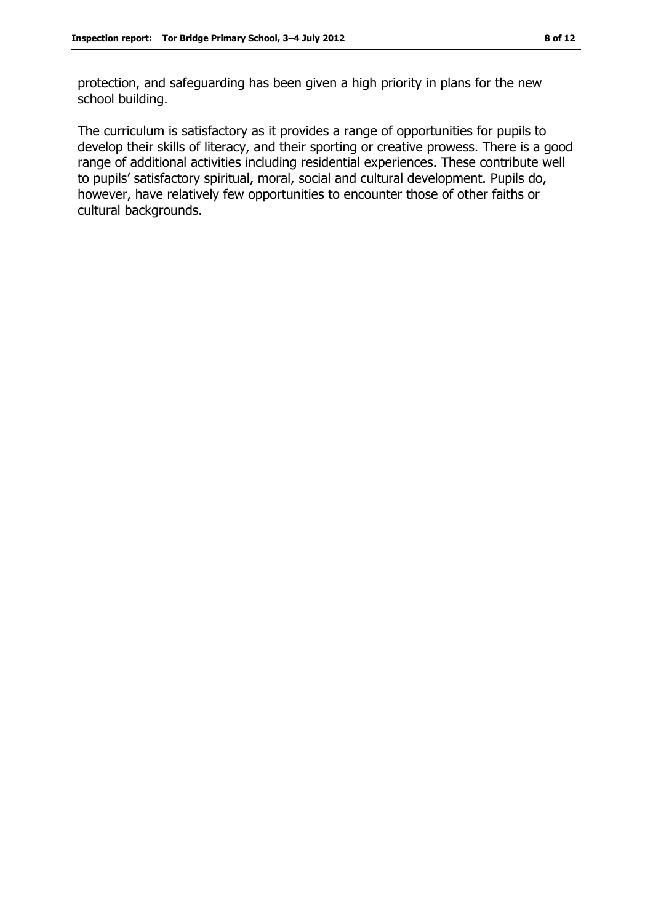protection, and safeguarding has been given a high priority in plans for the new school building.

The curriculum is satisfactory as it provides a range of opportunities for pupils to develop their skills of literacy, and their sporting or creative prowess. There is a good range of additional activities including residential experiences. These contribute well to pupils' satisfactory spiritual, moral, social and cultural development. Pupils do, however, have relatively few opportunities to encounter those of other faiths or cultural backgrounds.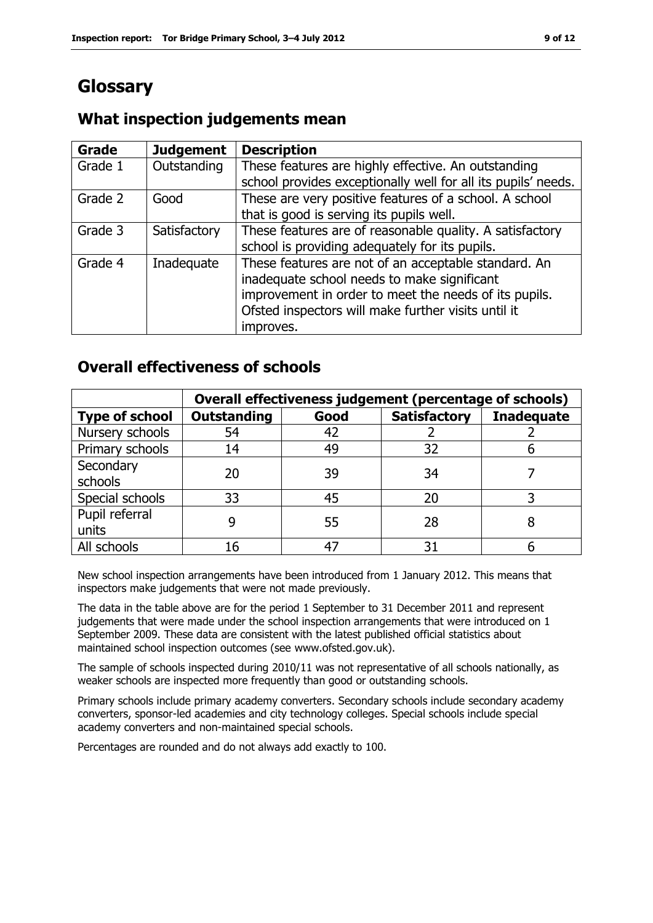# **Glossary**

#### **Grade Judgement Description** Grade  $1$  | Outstanding | These features are highly effective. An outstanding school provides exceptionally well for all its pupils' needs. Grade 2  $\Box$  Good These are very positive features of a school. A school that is good is serving its pupils well. Grade 3  $\parallel$  Satisfactory  $\parallel$  These features are of reasonable quality. A satisfactory school is providing adequately for its pupils. Grade 4 | Inadequate | These features are not of an acceptable standard. An inadequate school needs to make significant improvement in order to meet the needs of its pupils. Ofsted inspectors will make further visits until it improves.

## **What inspection judgements mean**

## **Overall effectiveness of schools**

|                         | Overall effectiveness judgement (percentage of schools) |      |                     |                   |
|-------------------------|---------------------------------------------------------|------|---------------------|-------------------|
| <b>Type of school</b>   | <b>Outstanding</b>                                      | Good | <b>Satisfactory</b> | <b>Inadequate</b> |
| Nursery schools         | 54                                                      | 42   |                     |                   |
| Primary schools         | 14                                                      | 49   | 32                  |                   |
| Secondary<br>schools    | 20                                                      | 39   | 34                  |                   |
| Special schools         | 33                                                      | 45   | 20                  |                   |
| Pupil referral<br>units |                                                         | 55   | 28                  |                   |
| All schools             | 16                                                      | 47   | 31                  |                   |

New school inspection arrangements have been introduced from 1 January 2012. This means that inspectors make judgements that were not made previously.

The data in the table above are for the period 1 September to 31 December 2011 and represent judgements that were made under the school inspection arrangements that were introduced on 1 September 2009. These data are consistent with the latest published official statistics about maintained school inspection outcomes (see www.ofsted.gov.uk).

The sample of schools inspected during 2010/11 was not representative of all schools nationally, as weaker schools are inspected more frequently than good or outstanding schools.

Primary schools include primary academy converters. Secondary schools include secondary academy converters, sponsor-led academies and city technology colleges. Special schools include special academy converters and non-maintained special schools.

Percentages are rounded and do not always add exactly to 100.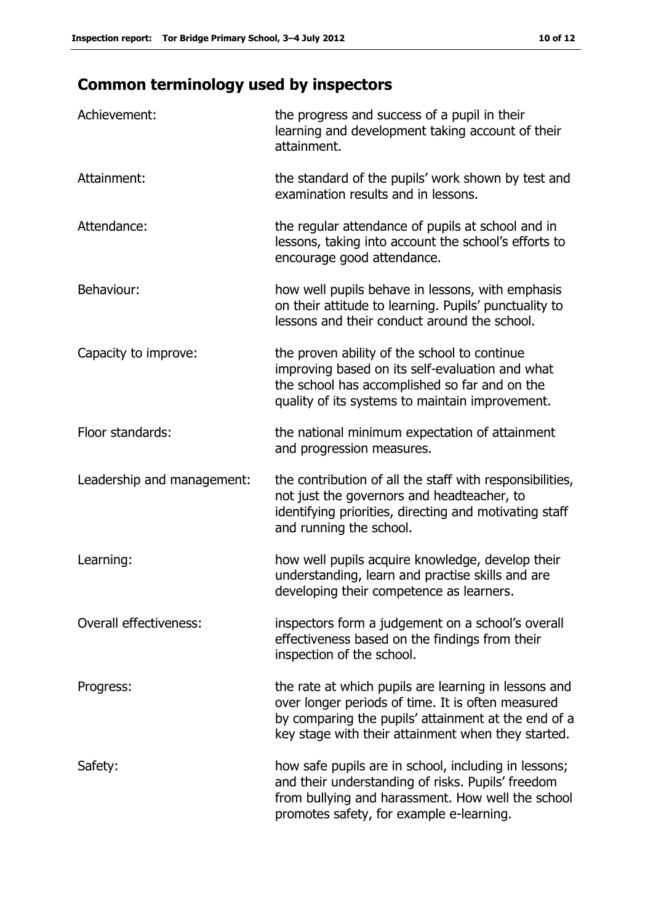# **Common terminology used by inspectors**

| Achievement:                  | the progress and success of a pupil in their<br>learning and development taking account of their<br>attainment.                                                                                                        |
|-------------------------------|------------------------------------------------------------------------------------------------------------------------------------------------------------------------------------------------------------------------|
| Attainment:                   | the standard of the pupils' work shown by test and<br>examination results and in lessons.                                                                                                                              |
| Attendance:                   | the regular attendance of pupils at school and in<br>lessons, taking into account the school's efforts to<br>encourage good attendance.                                                                                |
| Behaviour:                    | how well pupils behave in lessons, with emphasis<br>on their attitude to learning. Pupils' punctuality to<br>lessons and their conduct around the school.                                                              |
| Capacity to improve:          | the proven ability of the school to continue<br>improving based on its self-evaluation and what<br>the school has accomplished so far and on the<br>quality of its systems to maintain improvement.                    |
| Floor standards:              | the national minimum expectation of attainment<br>and progression measures.                                                                                                                                            |
| Leadership and management:    | the contribution of all the staff with responsibilities,<br>not just the governors and headteacher, to<br>identifying priorities, directing and motivating staff<br>and running the school.                            |
| Learning:                     | how well pupils acquire knowledge, develop their<br>understanding, learn and practise skills and are<br>developing their competence as learners.                                                                       |
| <b>Overall effectiveness:</b> | inspectors form a judgement on a school's overall<br>effectiveness based on the findings from their<br>inspection of the school.                                                                                       |
| Progress:                     | the rate at which pupils are learning in lessons and<br>over longer periods of time. It is often measured<br>by comparing the pupils' attainment at the end of a<br>key stage with their attainment when they started. |
| Safety:                       | how safe pupils are in school, including in lessons;<br>and their understanding of risks. Pupils' freedom<br>from bullying and harassment. How well the school<br>promotes safety, for example e-learning.             |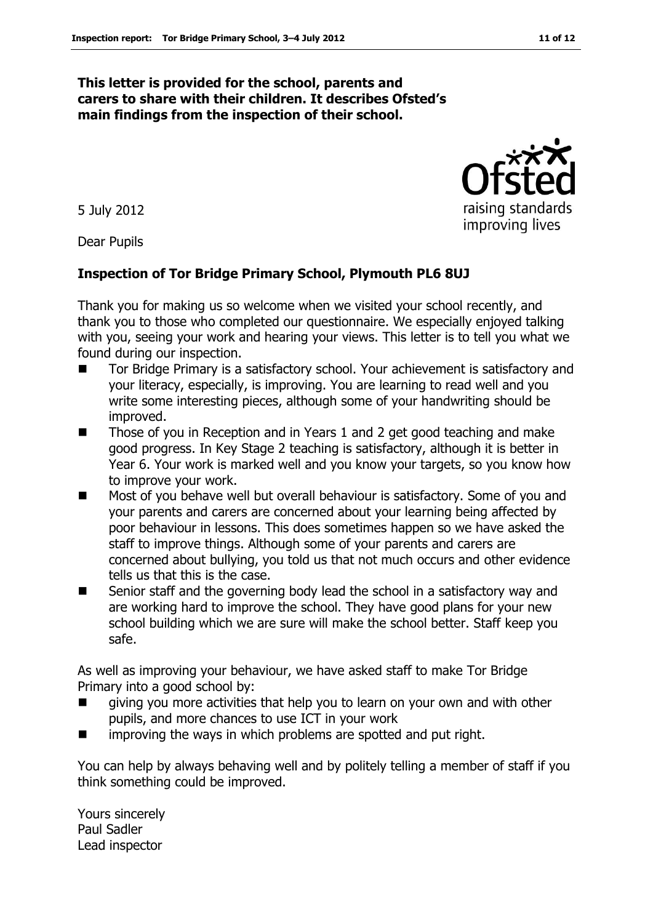#### **This letter is provided for the school, parents and carers to share with their children. It describes Ofsted's main findings from the inspection of their school.**

5 July 2012

Dear Pupils

#### **Inspection of Tor Bridge Primary School, Plymouth PL6 8UJ**

Thank you for making us so welcome when we visited your school recently, and thank you to those who completed our questionnaire. We especially enjoyed talking with you, seeing your work and hearing your views. This letter is to tell you what we found during our inspection.

- Tor Bridge Primary is a satisfactory school. Your achievement is satisfactory and your literacy, especially, is improving. You are learning to read well and you write some interesting pieces, although some of your handwriting should be improved.
- Those of you in Reception and in Years 1 and 2 get good teaching and make good progress. In Key Stage 2 teaching is satisfactory, although it is better in Year 6. Your work is marked well and you know your targets, so you know how to improve your work.
- Most of you behave well but overall behaviour is satisfactory. Some of you and your parents and carers are concerned about your learning being affected by poor behaviour in lessons. This does sometimes happen so we have asked the staff to improve things. Although some of your parents and carers are concerned about bullying, you told us that not much occurs and other evidence tells us that this is the case.
- Senior staff and the governing body lead the school in a satisfactory way and are working hard to improve the school. They have good plans for your new school building which we are sure will make the school better. Staff keep you safe.

As well as improving your behaviour, we have asked staff to make Tor Bridge Primary into a good school by:

- giving you more activities that help you to learn on your own and with other pupils, and more chances to use ICT in your work
- improving the ways in which problems are spotted and put right.

You can help by always behaving well and by politely telling a member of staff if you think something could be improved.

Yours sincerely Paul Sadler Lead inspector